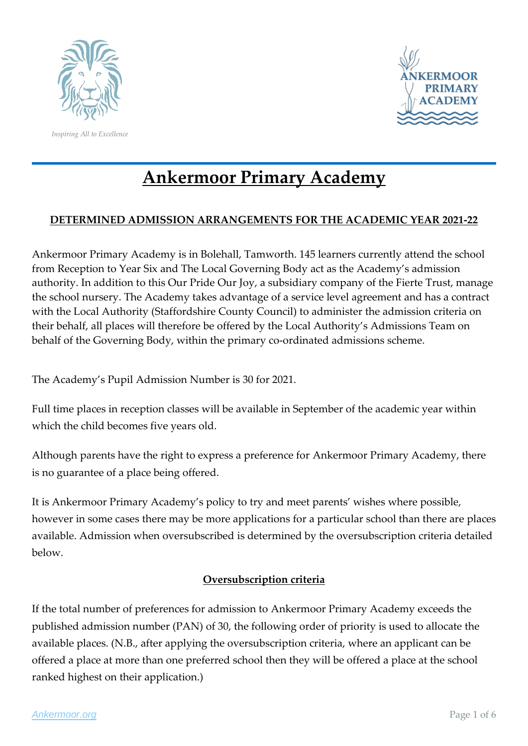

*Inspiring All to Excellence*



# **Ankermoor Primary Academy**

## **DETERMINED ADMISSION ARRANGEMENTS FOR THE ACADEMIC YEAR 2021-22**

Ankermoor Primary Academy is in Bolehall, Tamworth. 145 learners currently attend the school from Reception to Year Six and The Local Governing Body act as the Academy's admission authority. In addition to this Our Pride Our Joy, a subsidiary company of the Fierte Trust, manage the school nursery. The Academy takes advantage of a service level agreement and has a contract with the Local Authority (Staffordshire County Council) to administer the admission criteria on their behalf, all places will therefore be offered by the Local Authority's Admissions Team on behalf of the Governing Body, within the primary co-ordinated admissions scheme.

The Academy's Pupil Admission Number is 30 for 2021.

Full time places in reception classes will be available in September of the academic year within which the child becomes five years old.

Although parents have the right to express a preference for Ankermoor Primary Academy, there is no guarantee of a place being offered.

It is Ankermoor Primary Academy's policy to try and meet parents' wishes where possible, however in some cases there may be more applications for a particular school than there are places available. Admission when oversubscribed is determined by the oversubscription criteria detailed below.

### **Oversubscription criteria**

If the total number of preferences for admission to Ankermoor Primary Academy exceeds the published admission number (PAN) of 30, the following order of priority is used to allocate the available places. (N.B., after applying the oversubscription criteria, where an applicant can be offered a place at more than one preferred school then they will be offered a place at the school ranked highest on their application.)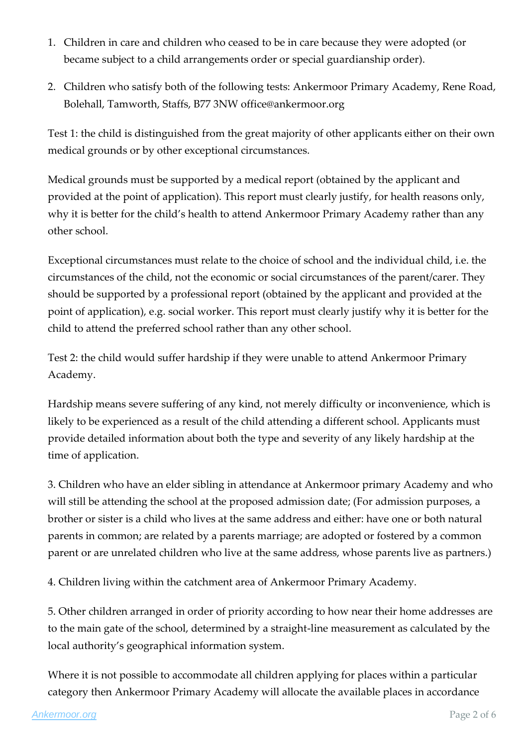- 1. Children in care and children who ceased to be in care because they were adopted (or became subject to a child arrangements order or special guardianship order).
- 2. Children who satisfy both of the following tests: Ankermoor Primary Academy, Rene Road, Bolehall, Tamworth, Staffs, B77 3NW office@ankermoor.org

Test 1: the child is distinguished from the great majority of other applicants either on their own medical grounds or by other exceptional circumstances.

Medical grounds must be supported by a medical report (obtained by the applicant and provided at the point of application). This report must clearly justify, for health reasons only, why it is better for the child's health to attend Ankermoor Primary Academy rather than any other school.

Exceptional circumstances must relate to the choice of school and the individual child, i.e. the circumstances of the child, not the economic or social circumstances of the parent/carer. They should be supported by a professional report (obtained by the applicant and provided at the point of application), e.g. social worker. This report must clearly justify why it is better for the child to attend the preferred school rather than any other school.

Test 2: the child would suffer hardship if they were unable to attend Ankermoor Primary Academy.

Hardship means severe suffering of any kind, not merely difficulty or inconvenience, which is likely to be experienced as a result of the child attending a different school. Applicants must provide detailed information about both the type and severity of any likely hardship at the time of application.

3. Children who have an elder sibling in attendance at Ankermoor primary Academy and who will still be attending the school at the proposed admission date; (For admission purposes, a brother or sister is a child who lives at the same address and either: have one or both natural parents in common; are related by a parents marriage; are adopted or fostered by a common parent or are unrelated children who live at the same address, whose parents live as partners.)

4. Children living within the catchment area of Ankermoor Primary Academy.

5. Other children arranged in order of priority according to how near their home addresses are to the main gate of the school, determined by a straight-line measurement as calculated by the local authority's geographical information system.

Where it is not possible to accommodate all children applying for places within a particular category then Ankermoor Primary Academy will allocate the available places in accordance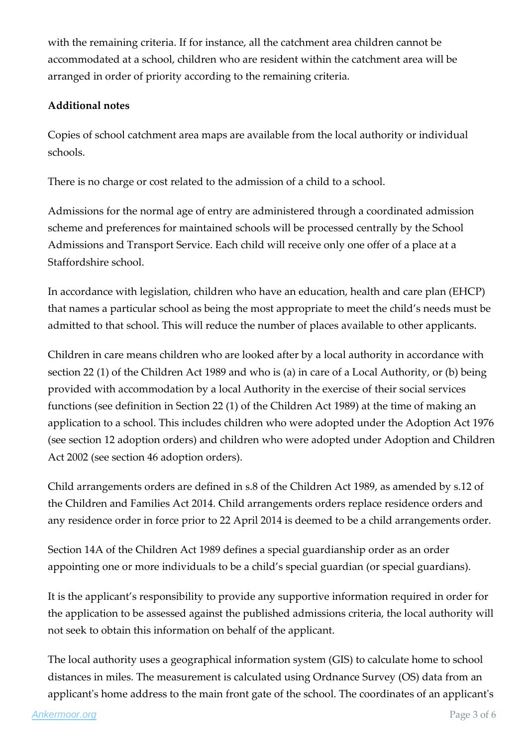with the remaining criteria. If for instance, all the catchment area children cannot be accommodated at a school, children who are resident within the catchment area will be arranged in order of priority according to the remaining criteria.

#### **Additional notes**

Copies of school catchment area maps are available from the local authority or individual schools.

There is no charge or cost related to the admission of a child to a school.

Admissions for the normal age of entry are administered through a coordinated admission scheme and preferences for maintained schools will be processed centrally by the School Admissions and Transport Service. Each child will receive only one offer of a place at a Staffordshire school.

In accordance with legislation, children who have an education, health and care plan (EHCP) that names a particular school as being the most appropriate to meet the child's needs must be admitted to that school. This will reduce the number of places available to other applicants.

Children in care means children who are looked after by a local authority in accordance with section 22 (1) of the Children Act 1989 and who is (a) in care of a Local Authority, or (b) being provided with accommodation by a local Authority in the exercise of their social services functions (see definition in Section 22 (1) of the Children Act 1989) at the time of making an application to a school. This includes children who were adopted under the Adoption Act 1976 (see section 12 adoption orders) and children who were adopted under Adoption and Children Act 2002 (see section 46 adoption orders).

Child arrangements orders are defined in s.8 of the Children Act 1989, as amended by s.12 of the Children and Families Act 2014. Child arrangements orders replace residence orders and any residence order in force prior to 22 April 2014 is deemed to be a child arrangements order.

Section 14A of the Children Act 1989 defines a special guardianship order as an order appointing one or more individuals to be a child's special guardian (or special guardians).

It is the applicant's responsibility to provide any supportive information required in order for the application to be assessed against the published admissions criteria, the local authority will not seek to obtain this information on behalf of the applicant.

The local authority uses a geographical information system (GIS) to calculate home to school distances in miles. The measurement is calculated using Ordnance Survey (OS) data from an applicant's home address to the main front gate of the school. The coordinates of an applicant's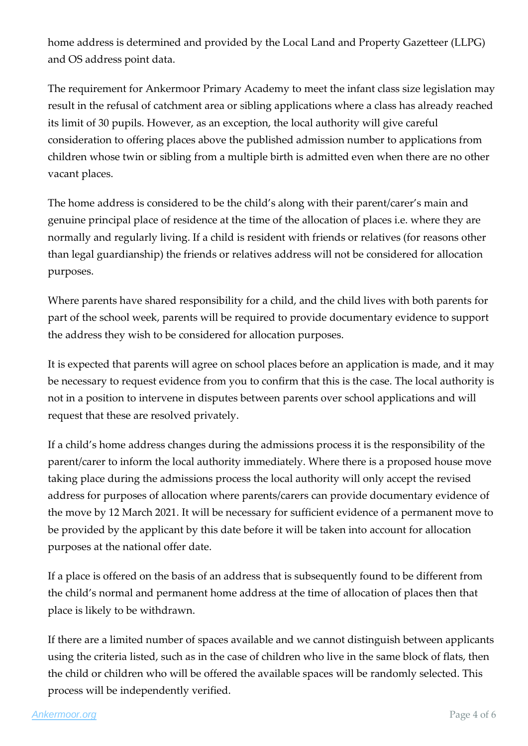home address is determined and provided by the Local Land and Property Gazetteer (LLPG) and OS address point data.

The requirement for Ankermoor Primary Academy to meet the infant class size legislation may result in the refusal of catchment area or sibling applications where a class has already reached its limit of 30 pupils. However, as an exception, the local authority will give careful consideration to offering places above the published admission number to applications from children whose twin or sibling from a multiple birth is admitted even when there are no other vacant places.

The home address is considered to be the child's along with their parent/carer's main and genuine principal place of residence at the time of the allocation of places i.e. where they are normally and regularly living. If a child is resident with friends or relatives (for reasons other than legal guardianship) the friends or relatives address will not be considered for allocation purposes.

Where parents have shared responsibility for a child, and the child lives with both parents for part of the school week, parents will be required to provide documentary evidence to support the address they wish to be considered for allocation purposes.

It is expected that parents will agree on school places before an application is made, and it may be necessary to request evidence from you to confirm that this is the case. The local authority is not in a position to intervene in disputes between parents over school applications and will request that these are resolved privately.

If a child's home address changes during the admissions process it is the responsibility of the parent/carer to inform the local authority immediately. Where there is a proposed house move taking place during the admissions process the local authority will only accept the revised address for purposes of allocation where parents/carers can provide documentary evidence of the move by 12 March 2021. It will be necessary for sufficient evidence of a permanent move to be provided by the applicant by this date before it will be taken into account for allocation purposes at the national offer date.

If a place is offered on the basis of an address that is subsequently found to be different from the child's normal and permanent home address at the time of allocation of places then that place is likely to be withdrawn.

If there are a limited number of spaces available and we cannot distinguish between applicants using the criteria listed, such as in the case of children who live in the same block of flats, then the child or children who will be offered the available spaces will be randomly selected. This process will be independently verified.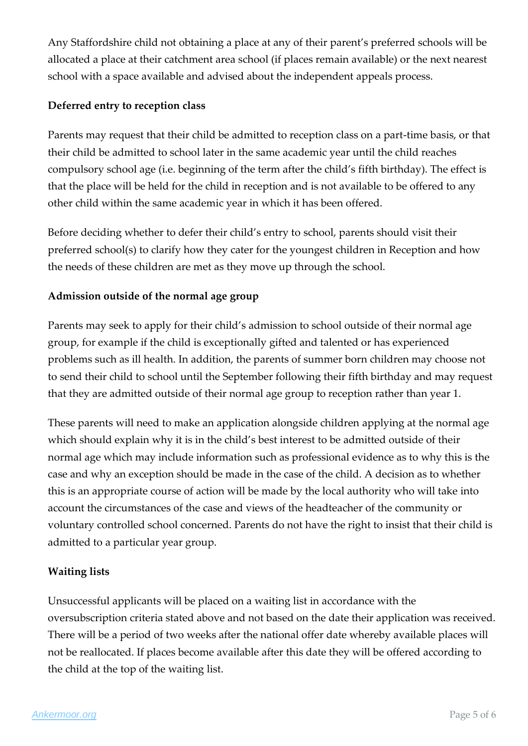Any Staffordshire child not obtaining a place at any of their parent's preferred schools will be allocated a place at their catchment area school (if places remain available) or the next nearest school with a space available and advised about the independent appeals process.

#### **Deferred entry to reception class**

Parents may request that their child be admitted to reception class on a part-time basis, or that their child be admitted to school later in the same academic year until the child reaches compulsory school age (i.e. beginning of the term after the child's fifth birthday). The effect is that the place will be held for the child in reception and is not available to be offered to any other child within the same academic year in which it has been offered.

Before deciding whether to defer their child's entry to school, parents should visit their preferred school(s) to clarify how they cater for the youngest children in Reception and how the needs of these children are met as they move up through the school.

#### **Admission outside of the normal age group**

Parents may seek to apply for their child's admission to school outside of their normal age group, for example if the child is exceptionally gifted and talented or has experienced problems such as ill health. In addition, the parents of summer born children may choose not to send their child to school until the September following their fifth birthday and may request that they are admitted outside of their normal age group to reception rather than year 1.

These parents will need to make an application alongside children applying at the normal age which should explain why it is in the child's best interest to be admitted outside of their normal age which may include information such as professional evidence as to why this is the case and why an exception should be made in the case of the child. A decision as to whether this is an appropriate course of action will be made by the local authority who will take into account the circumstances of the case and views of the headteacher of the community or voluntary controlled school concerned. Parents do not have the right to insist that their child is admitted to a particular year group.

#### **Waiting lists**

Unsuccessful applicants will be placed on a waiting list in accordance with the oversubscription criteria stated above and not based on the date their application was received. There will be a period of two weeks after the national offer date whereby available places will not be reallocated. If places become available after this date they will be offered according to the child at the top of the waiting list.